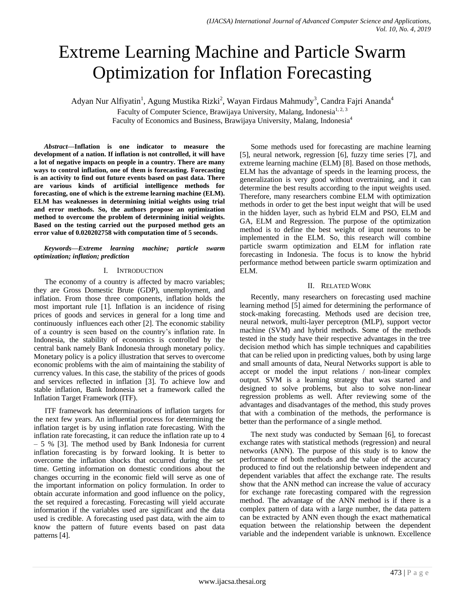# Extreme Learning Machine and Particle Swarm Optimization for Inflation Forecasting

Adyan Nur Alfiyatin<sup>1</sup>, Agung Mustika Rizki<sup>2</sup>, Wayan Firdaus Mahmudy<sup>3</sup>, Candra Fajri Ananda<sup>4</sup>

Faculty of Computer Science, Brawijaya University, Malang, Indonesia<sup>1, 2, 3</sup>

Faculty of Economics and Business, Brawijaya University, Malang, Indonesia<sup>4</sup>

*Abstract***—Inflation is one indicator to measure the development of a nation. If inflation is not controlled, it will have a lot of negative impacts on people in a country. There are many ways to control inflation, one of them is forecasting. Forecasting is an activity to find out future events based on past data. There are various kinds of artificial intelligence methods for forecasting, one of which is the extreme learning machine (ELM). ELM has weaknesses in determining initial weights using trial and error methods. So, the authors propose an optimization method to overcome the problem of determining initial weights. Based on the testing carried out the purposed method gets an error value of 0.020202758 with computation time of 5 seconds.**

*Keywords—Extreme learning machine; particle swarm optimization; inflation; prediction*

# I. INTRODUCTION

The economy of a country is affected by macro variables; they are Gross Domestic Brute (GDP), unemployment, and inflation. From those three components, inflation holds the most important rule [1]. Inflation is an incidence of rising prices of goods and services in general for a long time and continuously influences each other [2]. The economic stability of a country is seen based on the country's inflation rate. In Indonesia, the stability of economics is controlled by the central bank namely Bank Indonesia through monetary policy. Monetary policy is a policy illustration that serves to overcome economic problems with the aim of maintaining the stability of currency values. In this case, the stability of the prices of goods and services reflected in inflation [3]. To achieve low and stable inflation, Bank Indonesia set a framework called the Inflation Target Framework (ITF).

ITF framework has determinations of inflation targets for the next few years. An influential process for determining the inflation target is by using inflation rate forecasting. With the inflation rate forecasting, it can reduce the inflation rate up to 4 – 5 % [3]. The method used by Bank Indonesia for current inflation forecasting is by forward looking. It is better to overcome the inflation shocks that occurred during the set time. Getting information on domestic conditions about the changes occurring in the economic field will serve as one of the important information on policy formulation. In order to obtain accurate information and good influence on the policy, the set required a forecasting. Forecasting will yield accurate information if the variables used are significant and the data used is credible. A forecasting used past data, with the aim to know the pattern of future events based on past data patterns [4].

Some methods used for forecasting are machine learning [5], neural network, regression [6], fuzzy time series [7], and extreme learning machine (ELM) [8]. Based on those methods, ELM has the advantage of speeds in the learning process, the generalization is very good without overtraining, and it can determine the best results according to the input weights used. Therefore, many researchers combine ELM with optimization methods in order to get the best input weight that will be used in the hidden layer, such as hybrid ELM and PSO, ELM and GA, ELM and Regression. The purpose of the optimization method is to define the best weight of input neurons to be implemented in the ELM. So, this research will combine particle swarm optimization and ELM for inflation rate forecasting in Indonesia. The focus is to know the hybrid performance method between particle swarm optimization and ELM.

# II. RELATED WORK

Recently, many researchers on forecasting used machine learning method [5] aimed for determining the performance of stock-making forecasting. Methods used are decision tree, neural network, multi-layer perceptron (MLP), support vector machine (SVM) and hybrid methods. Some of the methods tested in the study have their respective advantages in the tree decision method which has simple techniques and capabilities that can be relied upon in predicting values, both by using large and small amounts of data, Neural Networks support is able to accept or model the input relations / non-linear complex output. SVM is a learning strategy that was started and designed to solve problems, but also to solve non-linear regression problems as well. After reviewing some of the advantages and disadvantages of the method, this study proves that with a combination of the methods, the performance is better than the performance of a single method.

The next study was conducted by Semaan [6], to forecast exchange rates with statistical methods (regression) and neural networks (ANN). The purpose of this study is to know the performance of both methods and the value of the accuracy produced to find out the relationship between independent and dependent variables that affect the exchange rate. The results show that the ANN method can increase the value of accuracy for exchange rate forecasting compared with the regression method. The advantage of the ANN method is if there is a complex pattern of data with a large number, the data pattern can be extracted by ANN even though the exact mathematical equation between the relationship between the dependent variable and the independent variable is unknown. Excellence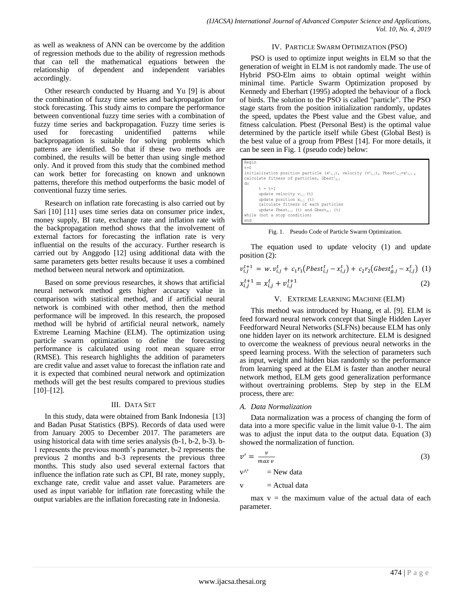as well as weakness of ANN can be overcome by the addition of regression methods due to the ability of regression methods that can tell the mathematical equations between the relationship of dependent and independent variables accordingly.

Other research conducted by Huarng and Yu [9] is about the combination of fuzzy time series and backpropagation for stock forecasting. This study aims to compare the performance between conventional fuzzy time series with a combination of fuzzy time series and backpropagation. Fuzzy time series is used for forecasting unidentified patterns while backpropagation is suitable for solving problems which patterns are identified. So that if these two methods are combined, the results will be better than using single method only. And it proved from this study that the combined method can work better for forecasting on known and unknown patterns, therefore this method outperforms the basic model of conventional fuzzy time series.

Research on inflation rate forecasting is also carried out by Sari [10] [11] uses time series data on consumer price index, money supply, BI rate, exchange rate and inflation rate with the backpropagation method shows that the involvement of external factors for forecasting the inflation rate is very influential on the results of the accuracy. Further research is carried out by Anggodo [12] using additional data with the same parameters gets better results because it uses a combined method between neural network and optimization.

Based on some previous researches, it shows that artificial neural network method gets higher accuracy value in comparison with statistical method, and if artificial neural network is combined with other method, then the method performance will be improved. In this research, the proposed method will be hybrid of artificial neural network, namely Extreme Learning Machine (ELM). The optimization using particle swarm optimization to define the forecasting performance is calculated using root mean square error (RMSE). This research highlights the addition of parameters are credit value and asset value to forecast the inflation rate and it is expected that combined neural network and optimization methods will get the best results compared to previous studies [10]–[12].

## III. DATA SET

In this study, data were obtained from Bank Indonesia [13] and Badan Pusat Statistics (BPS). Records of data used were from January 2005 to December 2017. The parameters are using historical data with time series analysis (b-1, b-2, b-3). b-1 represents the previous month's parameter, b-2 represents the previous 2 months and b-3 represents the previous three months. This study also used several external factors that influence the inflation rate such as CPI, BI rate, money supply, exchange rate, credit value and asset value. Parameters are used as input variable for inflation rate forecasting while the output variables are the inflation forecasting rate in Indonesia.

# IV. PARTICLE SWARM OPTIMIZATION (PSO)

PSO is used to optimize input weights in ELM so that the generation of weight in ELM is not randomly made. The use of Hybrid PSO-Elm aims to obtain optimal weight within minimal time. Particle Swarm Optimization proposed by Kennedy and Eberhart (1995) adopted the behaviour of a flock of birds. The solution to the PSO is called "particle". The PSO stage starts from the position initialization randomly, updates the speed, updates the Pbest value and the Gbest value, and fitness calculation. Pbest (Personal Best) is the optimal value determined by the particle itself while Gbest (Global Best) is the best value of a group from PBest [14]. For more details, it can be seen in Fig. 1 (pseudo code) below:

| Begin                                                                                                                            |  |  |  |  |  |
|----------------------------------------------------------------------------------------------------------------------------------|--|--|--|--|--|
| $t = 0$                                                                                                                          |  |  |  |  |  |
| initialization position particle $(x^{t_{i,j}})$ , velocity $(v^{t_{i,j}})$ , Pbest <sup>t</sup> <sub>ij</sub> = $x^{t_{i,j}}$ , |  |  |  |  |  |
| calculate fitness of particles, Gbestt <sub>a.i</sub>                                                                            |  |  |  |  |  |
| l do                                                                                                                             |  |  |  |  |  |
| $t = t + 1$                                                                                                                      |  |  |  |  |  |
| update velocity $v_{i,i}$ (t)                                                                                                    |  |  |  |  |  |
| update position $x_{i,i}$ (t)                                                                                                    |  |  |  |  |  |
| calculate fitness of each particles                                                                                              |  |  |  |  |  |
| update Pbest <sub>i.<sup>1</sup></sub> (t) and Gbest <sub>a.1</sub> (t)                                                          |  |  |  |  |  |
| while (not a stop condition)                                                                                                     |  |  |  |  |  |
| l end                                                                                                                            |  |  |  |  |  |

Fig. 1. Pseudo Code of Particle Swarm Optimization.

The equation used to update velocity (1) and update position (2):

$$
v_{i,j}^{t+1} = w \cdot v_{i,j}^t + c_1 r_1 (Pbest_{i,j}^t - x_{i,j}^t) + c_2 r_2 (Gbest_{g,j}^t - x_{i,j}^t) \tag{1}
$$

$$
x_{i,j}^{t+1} = x_{i,j}^t + v_{i,j}^{t+1}
$$
 (2)

## V. EXTREME LEARNING MACHINE (ELM)

This method was introduced by Huang, et al. [9]. ELM is feed forward neural network concept that Single Hidden Layer Feedforward Neural Networks (SLFNs) because ELM has only one hidden layer on its network architecture. ELM is designed to overcome the weakness of previous neural networks in the speed learning process. With the selection of parameters such as input, weight and hidden bias randomly so the performance from learning speed at the ELM is faster than another neural network method, ELM gets good generalization performance without overtraining problems*.* Step by step in the ELM process, there are:

## *A. Data Normalization*

Data normalization was a process of changing the form of data into a more specific value in the limit value 0-1. The aim was to adjust the input data to the output data. Equation (3) showed the normalization of function.

$$
v' = \frac{v}{\max v} \tag{3}
$$

 $v^{\wedge'}$  = New data

 $v =$ Actual data

max  $v =$  the maximum value of the actual data of each parameter.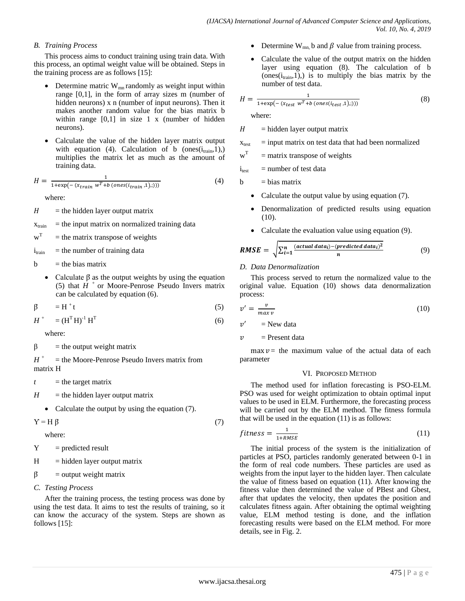# *B. Training Process*

This process aims to conduct training using train data. With this process, an optimal weight value will be obtained. Steps in the training process are as follows [15]:

- Determine matric  $W_{mn}$  randomly as weight input within range [0,1], in the form of array sizes m (number of hidden neurons) x n (number of input neurons). Then it makes another random value for the bias matrix b within range  $[0,1]$  in size 1 x (number of hidden neurons).
- Calculate the value of the hidden layer matrix output with equation (4). Calculation of b (ones( $i_{train}$ , 1),) multiplies the matrix let as much as the amount of training data.

$$
H = \frac{1}{1 + \exp\left(-\left(x_{train} w^T + b\left(ones(i_{train}, 1), j\right)\right)\right)}
$$
(4)

where:

 $H =$  the hidden layer output matrix

 $x_{\text{train}}$  = the input matrix on normalized training data

$$
wT
$$
 = the matrix transpose of weights

 $i_{\text{train}}$  = the number of training data

 $b =$  the bias matrix

• Calculate  $\beta$  as the output weights by using the equation (5) that  $H^+$  or Moore-Penrose Pseudo Invers matrix can be calculated by equation (6).

$$
\beta = H^+t \tag{5}
$$

$$
H^+ = (H^{\mathrm{T}} H)^{-1} H^{\mathrm{T}} \tag{6}
$$

where:

 $\beta$  = the output weight matrix

*H <sup>+</sup>* = the Moore-Penrose Pseudo Invers matrix from matrix H

 $t =$  the target matrix

- $H =$  the hidden layer output matrix
	- Calculate the output by using the equation (7).

 $Y = H \beta$  (7)

where:

 $Y =$  predicted result

 $H = h$ idden layer output matrix

$$
\beta = output weight matrix
$$

*C. Testing Process*

After the training process, the testing process was done by using the test data. It aims to test the results of training, so it can know the accuracy of the system. Steps are shown as follows [15]:

- Determine  $W_{mn}$  b and  $\beta$  value from training process.
- Calculate the value of the output matrix on the hidden layer using equation (8). The calculation of b  $(ones(i<sub>train</sub>,1))$ , is to multiply the bias matrix by the number of test data.

$$
H = \frac{1}{1 + \exp(- (x_{test} w^T + b \ (ones(i_{test}, 1),)))}
$$
(8)

where:

 $H = \text{hidden layer output matrix}$ 

 $x<sub>test</sub>$  = input matrix on test data that had been normalized

w T = matrix transpose of weights

 $i<sub>test</sub>$  = number of test data

 $b = bias matrix$ 

- Calculate the output value by using equation (7).
- Denormalization of predicted results using equation (10).
- Calculate the evaluation value using equation (9).

$$
RMSE = \sqrt{\sum_{i=1}^{n} \frac{(actual\ data_i) - (predicted\ data_i)^2}{n}}
$$
(9)

# *D. Data Denormalization*

This process served to return the normalized value to the original value. Equation (10) shows data denormalization process:

$$
v' = \frac{v}{\max v} \tag{10}
$$

 $v'$  $=$  New data

 $v =$ Present data

 $max v =$  the maximum value of the actual data of each parameter

## VI. PROPOSED METHOD

The method used for inflation forecasting is PSO-ELM. PSO was used for weight optimization to obtain optimal input values to be used in ELM. Furthermore, the forecasting process will be carried out by the ELM method. The fitness formula that will be used in the equation (11) is as follows:

$$
fitness = \frac{1}{1 + RMSE} \tag{11}
$$

The initial process of the system is the initialization of particles at PSO, particles randomly generated between 0-1 in the form of real code numbers. These particles are used as weights from the input layer to the hidden layer. Then calculate the value of fitness based on equation (11). After knowing the fitness value then determined the value of PBest and Gbest, after that updates the velocity, then updates the position and calculates fitness again. After obtaining the optimal weighting value, ELM method testing is done, and the inflation forecasting results were based on the ELM method. For more details, see in Fig. 2.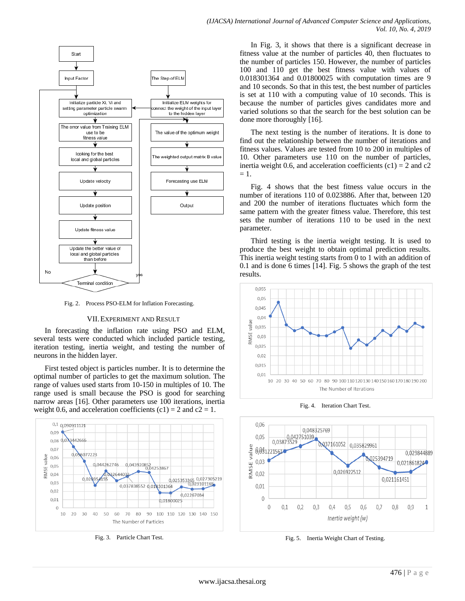

Fig. 2. Process PSO-ELM for Inflation Forecasting.

#### VII.EXPERIMENT AND RESULT

In forecasting the inflation rate using PSO and ELM, several tests were conducted which included particle testing, iteration testing, inertia weight, and testing the number of neurons in the hidden layer.

First tested object is particles number. It is to determine the optimal number of particles to get the maximum solution. The range of values used starts from 10-150 in multiples of 10. The range used is small because the PSO is good for searching narrow areas [16]. Other parameters use 100 iterations, inertia weight 0.6, and acceleration coefficients  $(c1) = 2$  and  $c2 = 1$ .



Fig. 3. Particle Chart Test.

In Fig. 3, it shows that there is a significant decrease in fitness value at the number of particles 40, then fluctuates to the number of particles 150. However, the number of particles 100 and 110 get the best fitness value with values of 0.018301364 and 0.01800025 with computation times are 9 and 10 seconds. So that in this test, the best number of particles is set at 110 with a computing value of 10 seconds. This is because the number of particles gives candidates more and varied solutions so that the search for the best solution can be done more thoroughly [16].

The next testing is the number of iterations. It is done to find out the relationship between the number of iterations and fitness values. Values are tested from 10 to 200 in multiples of 10. Other parameters use 110 on the number of particles, inertia weight 0.6, and acceleration coefficients  $(c1) = 2$  and  $c2$  $= 1$ .

Fig. 4 shows that the best fitness value occurs in the number of iterations 110 of 0.023886. After that, between 120 and 200 the number of iterations fluctuates which form the same pattern with the greater fitness value. Therefore, this test sets the number of iterations 110 to be used in the next parameter.

Third testing is the inertia weight testing. It is used to produce the best weight to obtain optimal prediction results. This inertia weight testing starts from 0 to 1 with an addition of 0.1 and is done 6 times [14]. Fig. 5 shows the graph of the test results.



Fig. 4. Iteration Chart Test.



Fig. 5. Inertia Weight Chart of Testing.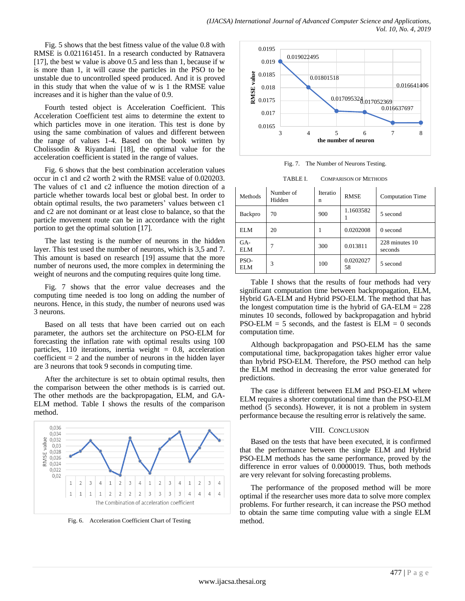Fig. 5 shows that the best fitness value of the value 0.8 with RMSE is 0.021161451. In a research conducted by Ratnavera [17], the best w value is above 0.5 and less than 1, because if w is more than 1, it will cause the particles in the PSO to be unstable due to uncontrolled speed produced. And it is proved in this study that when the value of w is 1 the RMSE value increases and it is higher than the value of 0.9.

Fourth tested object is Acceleration Coefficient. This Acceleration Coefficient test aims to determine the extent to which particles move in one iteration. This test is done by using the same combination of values and different between the range of values 1-4. Based on the book written by Cholissodin & Riyandani [18], the optimal value for the acceleration coefficient is stated in the range of values.

Fig. 6 shows that the best combination acceleration values occur in c1 and c2 worth 2 with the RMSE value of 0.020203. The values of c1 and c2 influence the motion direction of a particle whether towards local best or global best. In order to obtain optimal results, the two parameters' values between c1 and c2 are not dominant or at least close to balance, so that the particle movement route can be in accordance with the right portion to get the optimal solution [17].

The last testing is the number of neurons in the hidden layer. This test used the number of neurons, which is 3,5 and 7. This amount is based on research [19] assume that the more number of neurons used, the more complex in determining the weight of neurons and the computing requires quite long time.

Fig. 7 shows that the error value decreases and the computing time needed is too long on adding the number of neurons. Hence, in this study, the number of neurons used was 3 neurons.

Based on all tests that have been carried out on each parameter, the authors set the architecture on PSO-ELM for forecasting the inflation rate with optimal results using 100 particles, 110 iterations, inertia weight  $= 0.8$ , acceleration coefficient  $= 2$  and the number of neurons in the hidden layer are 3 neurons that took 9 seconds in computing time.

After the architecture is set to obtain optimal results, then the comparison between the other methods is is carried out. The other methods are the backpropagation, ELM, and GA-ELM method. Table I shows the results of the comparison method.



Fig. 6. Acceleration Coefficient Chart of Testing



Fig. 7. The Number of Neurons Testing.

TABLE I. COMPARISON OF METHODS

| Methods     | Number of<br>Hidden | Iteratio<br>n | <b>RMSE</b>     | <b>Computation Time</b>   |
|-------------|---------------------|---------------|-----------------|---------------------------|
| Backpro     | 70                  | 900           | 1.1603582       | 5 second                  |
| <b>ELM</b>  | 20                  |               | 0.0202008       | $0$ second                |
| GA-<br>ELM  |                     | 300           | 0.013811        | 228 minutes 10<br>seconds |
| PSO-<br>ELM | 3                   | 100           | 0.0202027<br>58 | 5 second                  |

Table I shows that the results of four methods had very significant computation time between backpropagation, ELM, Hybrid GA-ELM and Hybrid PSO-ELM. The method that has the longest computation time is the hybrid of  $GA-ELM = 228$ minutes 10 seconds, followed by backpropagation and hybrid  $PSO-ELM = 5$  seconds, and the fastest is  $ELM = 0$  seconds computation time.

Although backpropagation and PSO-ELM has the same computational time, backpropagation takes higher error value than hybrid PSO-ELM. Therefore, the PSO method can help the ELM method in decreasing the error value generated for predictions.

The case is different between ELM and PSO-ELM where ELM requires a shorter computational time than the PSO-ELM method (5 seconds). However, it is not a problem in system performance because the resulting error is relatively the same.

## VIII. CONCLUSION

Based on the tests that have been executed, it is confirmed that the performance between the single ELM and Hybrid PSO-ELM methods has the same performance, proved by the difference in error values of 0.0000019. Thus, both methods are very relevant for solving forecasting problems.

The performance of the proposed method will be more optimal if the researcher uses more data to solve more complex problems. For further research, it can increase the PSO method to obtain the same time computing value with a single ELM method.